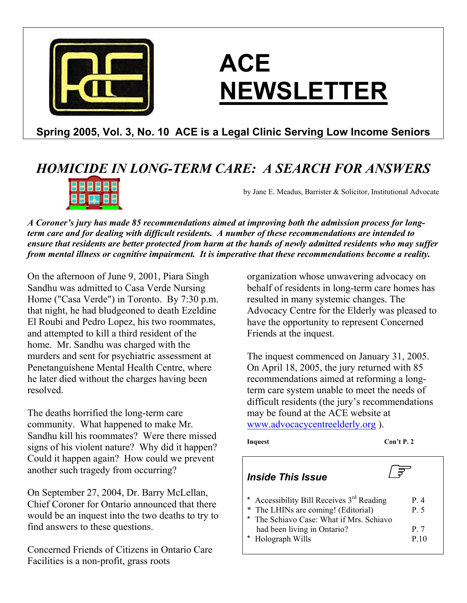

# **ACE NEWSLETTER**

### **Spring 2005, Vol. 3, No. 10 ACE is a Legal Clinic Serving Low Income Seniors**

# *HOMICIDE IN LONG-TERM CARE: A SEARCH FOR ANSWERS*



by Jane E. Meadus, Barrister & Solicitor, Institutional Advocate

*A Coroner's jury has made 85 recommendations aimed at improving both the admission process for longterm care and for dealing with difficult residents. A number of these recommendations are intended to ensure that residents are better protected from harm at the hands of newly admitted residents who may suffer from mental illness or cognitive impairment. It is imperative that these recommendations become a reality.*

On the afternoon of June 9, 2001, Piara Singh Sandhu was admitted to Casa Verde Nursing Home ("Casa Verde") in Toronto. By 7:30 p.m. that night, he had bludgeoned to death Ezeldine El Roubi and Pedro Lopez, his two roommates, and attempted to kill a third resident of the home. Mr. Sandhu was charged with the murders and sent for psychiatric assessment at Penetanguishene Mental Health Centre, where he later died without the charges having been resolved.

The deaths horrified the long-term care community. What happened to make Mr. Sandhu kill his roommates? Were there missed signs of his violent nature? Why did it happen? Could it happen again? How could we prevent another such tragedy from occurring?

On September 27, 2004, Dr. Barry McLellan, Chief Coroner for Ontario announced that there would be an inquest into the two deaths to try to find answers to these questions.

Concerned Friends of Citizens in Ontario Care Facilities is a non-profit, grass roots

organization whose unwavering advocacy on behalf of residents in long-term care homes has resulted in many systemic changes. The Advocacy Centre for the Elderly was pleased to have the opportunity to represent Concerned Friends at the inquest.

The inquest commenced on January 31, 2005. On April 18, 2005, the jury returned with 85 recommendations aimed at reforming a longterm care system unable to meet the needs of difficult residents (the jury's recommendations may be found at the ACE website at [www.advocacycentreelderly.org](http://www.advocacycentreelderly.org/) ).

**Inquest** Con't **P.** 2

#### *Inside This Issue*

| * Accessibility Bill Receives $3rd$ Reading | P 4  |
|---------------------------------------------|------|
| * The LHINs are coming! (Editorial)         | P. 5 |
| * The Schiavo Case: What if Mrs. Schiavo    |      |
| had been living in Ontario?                 | P 7  |
| * Holograph Wills                           | P 10 |
|                                             |      |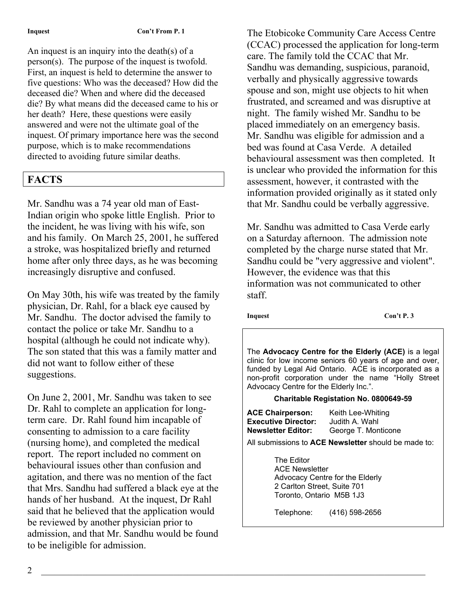An inquest is an inquiry into the death(s) of a person(s). The purpose of the inquest is twofold. First, an inquest is held to determine the answer to five questions: Who was the deceased? How did the deceased die? When and where did the deceased die? By what means did the deceased came to his or her death? Here, these questions were easily answered and were not the ultimate goal of the inquest. Of primary importance here was the second purpose, which is to make recommendations directed to avoiding future similar deaths.

### **FACTS**

Mr. Sandhu was a 74 year old man of East-Indian origin who spoke little English. Prior to the incident, he was living with his wife, son and his family. On March 25, 2001, he suffered a stroke, was hospitalized briefly and returned home after only three days, as he was becoming increasingly disruptive and confused.

On May 30th, his wife was treated by the family staff. physician, Dr. Rahl, for a black eye caused by Mr. Sandhu. The doctor advised the family to contact the police or take Mr. Sandhu to a hospital (although he could not indicate why). The son stated that this was a family matter and did not want to follow either of these suggestions.

On June 2, 2001, Mr. Sandhu was taken to see Dr. Rahl to complete an application for longterm care. Dr. Rahl found him incapable of consenting to admission to a care facility (nursing home), and completed the medical report. The report included no comment on behavioural issues other than confusion and agitation, and there was no mention of the fact that Mrs. Sandhu had suffered a black eye at the hands of her husband. At the inquest, Dr Rahl said that he believed that the application would be reviewed by another physician prior to admission, and that Mr. Sandhu would be found to be ineligible for admission.

Inquest Con't From P.1 The Etobicoke Community Care Access Centre (CCAC) processed the application for long-term care. The family told the CCAC that Mr. Sandhu was demanding, suspicious, paranoid, verbally and physically aggressive towards spouse and son, might use objects to hit when frustrated, and screamed and was disruptive at night. The family wished Mr. Sandhu to be placed immediately on an emergency basis. Mr. Sandhu was eligible for admission and a bed was found at Casa Verde. A detailed behavioural assessment was then completed. It is unclear who provided the information for this assessment, however, it contrasted with the information provided originally as it stated only that Mr. Sandhu could be verbally aggressive.

> Mr. Sandhu was admitted to Casa Verde early on a Saturday afternoon. The admission note completed by the charge nurse stated that Mr. Sandhu could be "very aggressive and violent". However, the evidence was that this information was not communicated to other

**Inquest Con't P. 3**

The **Advocacy Centre for the Elderly (ACE)** is a legal clinic for low income seniors 60 years of age and over, funded by Legal Aid Ontario. ACE is incorporated as a non-profit corporation under the name "Holly Street Advocacy Centre for the Elderly Inc.".

#### **Charitable Registation No. 0800649-59**

**ACE Chairperson:** Keith Lee-Whiting **Executive Director:** Judith A. Wahl **Newsletter Editor:** George T. Monticone

All submissions to **ACE Newsletter** should be made to:

 The Editor ACE Newsletter Advocacy Centre for the Elderly 2 Carlton Street, Suite 701 Toronto, Ontario M5B 1J3

Telephone: (416) 598-2656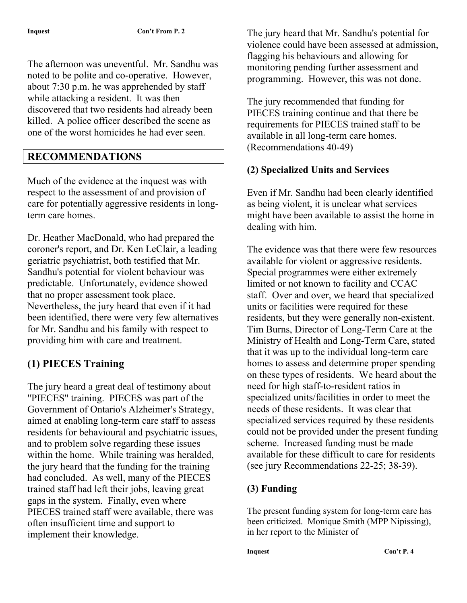The afternoon was uneventful. Mr. Sandhu was noted to be polite and co-operative. However, about 7:30 p.m. he was apprehended by staff while attacking a resident. It was then discovered that two residents had already been killed. A police officer described the scene as one of the worst homicides he had ever seen.

#### **RECOMMENDATIONS**

Much of the evidence at the inquest was with respect to the assessment of and provision of care for potentially aggressive residents in longterm care homes.

Dr. Heather MacDonald, who had prepared the coroner's report, and Dr. Ken LeClair, a leading geriatric psychiatrist, both testified that Mr. Sandhu's potential for violent behaviour was predictable. Unfortunately, evidence showed that no proper assessment took place. Nevertheless, the jury heard that even if it had been identified, there were very few alternatives for Mr. Sandhu and his family with respect to providing him with care and treatment.

#### **(1) PIECES Training**

The jury heard a great deal of testimony about "PIECES" training. PIECES was part of the Government of Ontario's Alzheimer's Strategy, aimed at enabling long-term care staff to assess residents for behavioural and psychiatric issues, and to problem solve regarding these issues within the home. While training was heralded, the jury heard that the funding for the training had concluded. As well, many of the PIECES trained staff had left their jobs, leaving great gaps in the system. Finally, even where PIECES trained staff were available, there was often insufficient time and support to implement their knowledge.

The jury heard that Mr. Sandhu's potential for violence could have been assessed at admission, flagging his behaviours and allowing for monitoring pending further assessment and programming. However, this was not done.

The jury recommended that funding for PIECES training continue and that there be requirements for PIECES trained staff to be available in all long-term care homes. (Recommendations 40-49)

#### **(2) Specialized Units and Services**

Even if Mr. Sandhu had been clearly identified as being violent, it is unclear what services might have been available to assist the home in dealing with him.

The evidence was that there were few resources available for violent or aggressive residents. Special programmes were either extremely limited or not known to facility and CCAC staff. Over and over, we heard that specialized units or facilities were required for these residents, but they were generally non-existent. Tim Burns, Director of Long-Term Care at the Ministry of Health and Long-Term Care, stated that it was up to the individual long-term care homes to assess and determine proper spending on these types of residents. We heard about the need for high staff-to-resident ratios in specialized units/facilities in order to meet the needs of these residents. It was clear that specialized services required by these residents could not be provided under the present funding scheme. Increased funding must be made available for these difficult to care for residents (see jury Recommendations 22-25; 38-39).

#### **(3) Funding**

The present funding system for long-term care has been criticized. Monique Smith (MPP Nipissing), in her report to the Minister of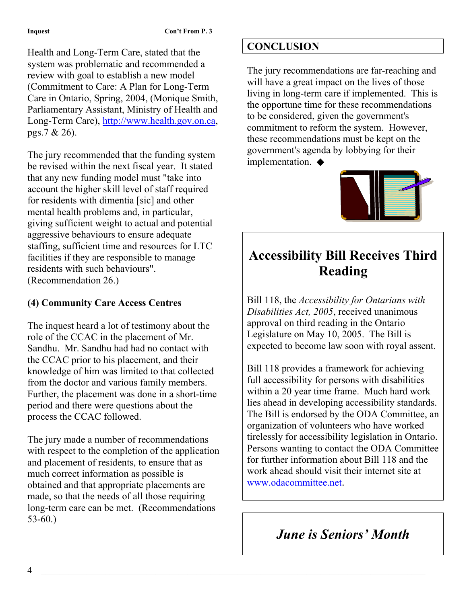**Health and Long-Term Care, stated that the <b>CONCLUSION** system was problematic and recommended a review with goal to establish a new model (Commitment to Care: A Plan for Long-Term Care in Ontario, Spring, 2004, (Monique Smith, Parliamentary Assistant, Ministry of Health and Long-Term Care), [http://www.health.gov.on.ca,](http://www.health.gov.on.ca/) pgs.7 & 26).

The jury recommended that the funding system<br>the government is agency to recommended the group of  $\frac{1}{2}$  implementation.  $\bullet$ be revised within the next fiscal year. It stated that any new funding model must "take into account the higher skill level of staff required for residents with dimentia [sic] and other mental health problems and, in particular, giving sufficient weight to actual and potential aggressive behaviours to ensure adequate staffing, sufficient time and resources for LTC residents with such behaviours". **Reading** (Recommendation 26.)

### **(4) Community Care Access Centres**

The inquest heard a lot of testimony about the role of the CCAC in the placement of Mr. Sandhu. Mr. Sandhu had had no contact with the CCAC prior to his placement, and their knowledge of him was limited to that collected from the doctor and various family members. Further, the placement was done in a short-time period and there were questions about the process the CCAC followed.

The jury made a number of recommendations with respect to the completion of the application and placement of residents, to ensure that as much correct information as possible is obtained and that appropriate placements are made, so that the needs of all those requiring long-term care can be met. (Recommendations 53-60.)

The jury recommendations are far-reaching and will have a great impact on the lives of those living in long-term care if implemented. This is the opportune time for these recommendations to be considered, given the government's commitment to reform the system. However, these recommendations must be kept on the government's agenda by lobbying for their



# facilities if they are responsible to manage **Accessibility Bill Receives Third**

Bill 118, the *Accessibility for Ontarians with Disabilities Act, 2005*, received unanimous approval on third reading in the Ontario Legislature on May 10, 2005. The Bill is expected to become law soon with royal assent.

Bill 118 provides a framework for achieving full accessibility for persons with disabilities within a 20 year time frame. Much hard work lies ahead in developing accessibility standards. The Bill is endorsed by the ODA Committee, an organization of volunteers who have worked tirelessly for accessibility legislation in Ontario. Persons wanting to contact the ODA Committee for further information about Bill 118 and the work ahead should visit their internet site at [www.odacommittee.net](http://www.odacommittee.net/).

*June is Seniors' Month*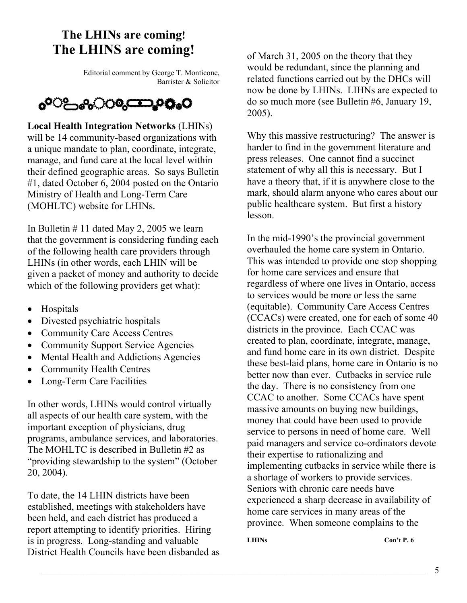## **The LHINs are coming! The LHINS are coming!** of March 31, 2005 on the theory that they

Editorial comment by George T. Monticone, Barrister & Solicitor

 $\circ$ % $\circ$   $\circ$   $\circ$   $\circ$   $\circ$   $\circ$   $\circ$ 

**Local Health Integration Networks** (LHINs) will be 14 community-based organizations with a unique mandate to plan, coordinate, integrate, manage, and fund care at the local level within their defined geographic areas. So says Bulletin #1, dated October 6, 2004 posted on the Ontario Ministry of Health and Long-Term Care (MOHLTC) website for LHINs.

In Bulletin # 11 dated May 2, 2005 we learn that the government is considering funding each of the following health care providers through LHINs (in other words, each LHIN will be given a packet of money and authority to decide which of the following providers get what):

- Hospitals
- Divested psychiatric hospitals
- Community Care Access Centres
- Community Support Service Agencies
- Mental Health and Addictions Agencies
- Community Health Centres
- Long-Term Care Facilities

In other words, LHINs would control virtually all aspects of our health care system, with the important exception of physicians, drug programs, ambulance services, and laboratories. The MOHLTC is described in Bulletin #2 as "providing stewardship to the system" (October 20, 2004).

To date, the 14 LHIN districts have been established, meetings with stakeholders have been held, and each district has produced a report attempting to identify priorities. Hiring is in progress. Long-standing and valuable District Health Councils have been disbanded as would be redundant, since the planning and related functions carried out by the DHCs will now be done by LHINs. LIHNs are expected to do so much more (see Bulletin #6, January 19, 2005).

Why this massive restructuring? The answer is harder to find in the government literature and press releases. One cannot find a succinct statement of why all this is necessary. But I have a theory that, if it is anywhere close to the mark, should alarm anyone who cares about our public healthcare system. But first a history lesson.

In the mid-1990's the provincial government overhauled the home care system in Ontario. This was intended to provide one stop shopping for home care services and ensure that regardless of where one lives in Ontario, access to services would be more or less the same (equitable). Community Care Access Centres (CCACs) were created, one for each of some 40 districts in the province. Each CCAC was created to plan, coordinate, integrate, manage, and fund home care in its own district. Despite these best-laid plans, home care in Ontario is no better now than ever. Cutbacks in service rule the day. There is no consistency from one CCAC to another. Some CCACs have spent massive amounts on buying new buildings, money that could have been used to provide service to persons in need of home care. Well paid managers and service co-ordinators devote their expertise to rationalizing and implementing cutbacks in service while there is a shortage of workers to provide services. Seniors with chronic care needs have experienced a sharp decrease in availability of home care services in many areas of the province. When someone complains to the

**LHINs Con't P. 6**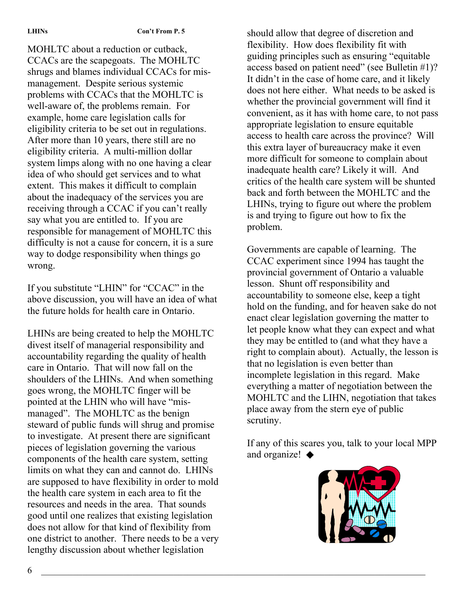MOHLTC about a reduction or cutback, CCACs are the scapegoats. The MOHLTC shrugs and blames individual CCACs for mismanagement. Despite serious systemic problems with CCACs that the MOHLTC is well-aware of, the problems remain. For example, home care legislation calls for eligibility criteria to be set out in regulations. After more than 10 years, there still are no eligibility criteria. A multi-million dollar system limps along with no one having a clear idea of who should get services and to what extent. This makes it difficult to complain about the inadequacy of the services you are receiving through a CCAC if you can't really say what you are entitled to. If you are responsible for management of MOHLTC this difficulty is not a cause for concern, it is a sure way to dodge responsibility when things go wrong.

If you substitute "LHIN" for "CCAC" in the above discussion, you will have an idea of what the future holds for health care in Ontario.

LHINs are being created to help the MOHLTC divest itself of managerial responsibility and accountability regarding the quality of health care in Ontario. That will now fall on the shoulders of the LHINs. And when something goes wrong, the MOHLTC finger will be pointed at the LHIN who will have "mismanaged". The MOHLTC as the benign steward of public funds will shrug and promise to investigate. At present there are significant pieces of legislation governing the various components of the health care system, setting limits on what they can and cannot do. LHINs are supposed to have flexibility in order to mold the health care system in each area to fit the resources and needs in the area. That sounds good until one realizes that existing legislation does not allow for that kind of flexibility from one district to another. There needs to be a very lengthy discussion about whether legislation

should allow that degree of discretion and flexibility. How does flexibility fit with guiding principles such as ensuring "equitable access based on patient need" (see Bulletin #1)? It didn't in the case of home care, and it likely does not here either. What needs to be asked is whether the provincial government will find it convenient, as it has with home care, to not pass appropriate legislation to ensure equitable access to health care across the province? Will this extra layer of bureaucracy make it even more difficult for someone to complain about inadequate health care? Likely it will. And critics of the health care system will be shunted back and forth between the MOHLTC and the LHINs, trying to figure out where the problem is and trying to figure out how to fix the problem.

Governments are capable of learning. The CCAC experiment since 1994 has taught the provincial government of Ontario a valuable lesson. Shunt off responsibility and accountability to someone else, keep a tight hold on the funding, and for heaven sake do not enact clear legislation governing the matter to let people know what they can expect and what they may be entitled to (and what they have a right to complain about). Actually, the lesson is that no legislation is even better than incomplete legislation in this regard. Make everything a matter of negotiation between the MOHLTC and the LIHN, negotiation that takes place away from the stern eye of public scrutiny.

If any of this scares you, talk to your local MPP and organize! ◆

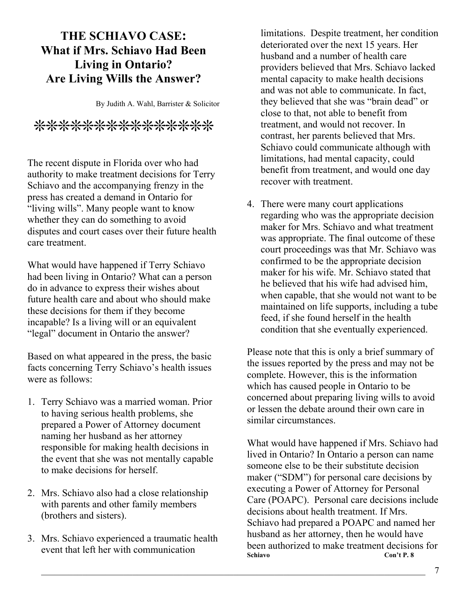## **THE SCHIAVO CASE: What if Mrs. Schiavo Had Been Living in Ontario? Are Living Wills the Answer?**

By Judith A. Wahl, Barrister & Solicitor

❊❊❊❊❊❊❊❊❊❊❊❊❊❊❊

The recent dispute in Florida over who had authority to make treatment decisions for Terry Schiavo and the accompanying frenzy in the press has created a demand in Ontario for "living wills". Many people want to know whether they can do something to avoid disputes and court cases over their future health care treatment.

What would have happened if Terry Schiavo had been living in Ontario? What can a person do in advance to express their wishes about future health care and about who should make these decisions for them if they become incapable? Is a living will or an equivalent "legal" document in Ontario the answer?

Based on what appeared in the press, the basic facts concerning Terry Schiavo's health issues were as follows:

- 1. Terry Schiavo was a married woman. Prior to having serious health problems, she prepared a Power of Attorney document naming her husband as her attorney responsible for making health decisions in the event that she was not mentally capable to make decisions for herself.
- 2. Mrs. Schiavo also had a close relationship with parents and other family members (brothers and sisters).
- 3. Mrs. Schiavo experienced a traumatic health event that left her with communication

limitations. Despite treatment, her condition deteriorated over the next 15 years. Her husband and a number of health care providers believed that Mrs. Schiavo lacked mental capacity to make health decisions and was not able to communicate. In fact, they believed that she was "brain dead" or close to that, not able to benefit from treatment, and would not recover. In contrast, her parents believed that Mrs. Schiavo could communicate although with limitations, had mental capacity, could benefit from treatment, and would one day recover with treatment.

4. There were many court applications regarding who was the appropriate decision maker for Mrs. Schiavo and what treatment was appropriate. The final outcome of these court proceedings was that Mr. Schiavo was confirmed to be the appropriate decision maker for his wife. Mr. Schiavo stated that he believed that his wife had advised him, when capable, that she would not want to be maintained on life supports, including a tube feed, if she found herself in the health condition that she eventually experienced.

Please note that this is only a brief summary of the issues reported by the press and may not be complete. However, this is the information which has caused people in Ontario to be concerned about preparing living wills to avoid or lessen the debate around their own care in similar circumstances.

What would have happened if Mrs. Schiavo had lived in Ontario? In Ontario a person can name someone else to be their substitute decision maker ("SDM") for personal care decisions by executing a Power of Attorney for Personal Care (POAPC). Personal care decisions include decisions about health treatment. If Mrs. Schiavo had prepared a POAPC and named her husband as her attorney, then he would have been authorized to make treatment decisions for **Schiavo Con't P. 8**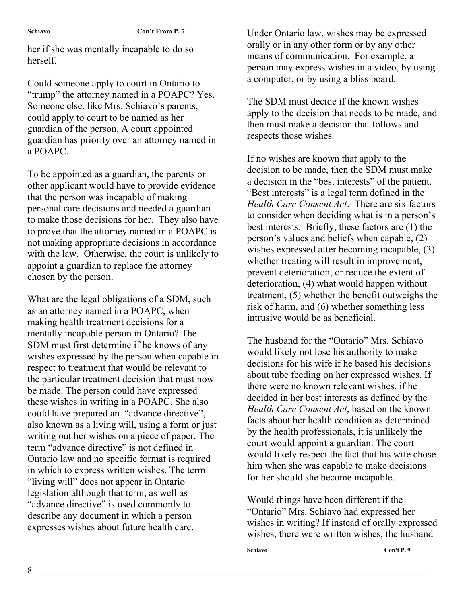her if she was mentally incapable to do so herself.

Could someone apply to court in Ontario to "trump" the attorney named in a POAPC? Yes. Someone else, like Mrs. Schiavo's parents, could apply to court to be named as her guardian of the person. A court appointed guardian has priority over an attorney named in a POAPC.

To be appointed as a guardian, the parents or other applicant would have to provide evidence that the person was incapable of making personal care decisions and needed a guardian to make those decisions for her. They also have to prove that the attorney named in a POAPC is not making appropriate decisions in accordance with the law. Otherwise, the court is unlikely to appoint a guardian to replace the attorney chosen by the person.

What are the legal obligations of a SDM, such as an attorney named in a POAPC, when making health treatment decisions for a mentally incapable person in Ontario? The SDM must first determine if he knows of any wishes expressed by the person when capable in respect to treatment that would be relevant to the particular treatment decision that must now be made. The person could have expressed these wishes in writing in a POAPC. She also could have prepared an "advance directive", also known as a living will, using a form or just writing out her wishes on a piece of paper. The term "advance directive" is not defined in Ontario law and no specific format is required in which to express written wishes. The term "living will" does not appear in Ontario legislation although that term, as well as "advance directive" is used commonly to describe any document in which a person expresses wishes about future health care.

Under Ontario law, wishes may be expressed orally or in any other form or by any other means of communication. For example, a person may express wishes in a video, by using a computer, or by using a bliss board.

The SDM must decide if the known wishes apply to the decision that needs to be made, and then must make a decision that follows and respects those wishes.

If no wishes are known that apply to the decision to be made, then the SDM must make a decision in the "best interests" of the patient. "Best interests" is a legal term defined in the *Health Care Consent Act*. There are six factors to consider when deciding what is in a person's best interests. Briefly, these factors are (1) the person's values and beliefs when capable, (2) wishes expressed after becoming incapable, (3) whether treating will result in improvement, prevent deterioration, or reduce the extent of deterioration, (4) what would happen without treatment, (5) whether the benefit outweighs the risk of harm, and (6) whether something less intrusive would be as beneficial.

The husband for the "Ontario" Mrs. Schiavo would likely not lose his authority to make decisions for his wife if he based his decisions about tube feeding on her expressed wishes. If there were no known relevant wishes, if he decided in her best interests as defined by the *Health Care Consent Act*, based on the known facts about her health condition as determined by the health professionals, it is unlikely the court would appoint a guardian. The court would likely respect the fact that his wife chose him when she was capable to make decisions for her should she become incapable.

Would things have been different if the "Ontario" Mrs. Schiavo had expressed her wishes in writing? If instead of orally expressed wishes, there were written wishes, the husband

**Schiavo Con't P. 9**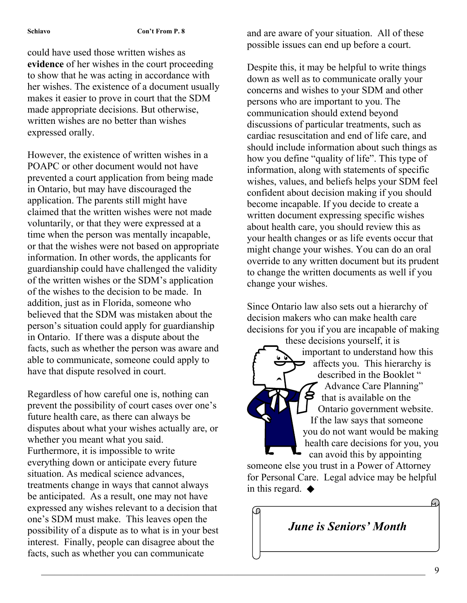could have used those written wishes as **evidence** of her wishes in the court proceeding to show that he was acting in accordance with her wishes. The existence of a document usually makes it easier to prove in court that the SDM made appropriate decisions. But otherwise, written wishes are no better than wishes expressed orally.

However, the existence of written wishes in a POAPC or other document would not have prevented a court application from being made in Ontario, but may have discouraged the application. The parents still might have claimed that the written wishes were not made voluntarily, or that they were expressed at a time when the person was mentally incapable, or that the wishes were not based on appropriate information. In other words, the applicants for guardianship could have challenged the validity of the written wishes or the SDM's application of the wishes to the decision to be made. In addition, just as in Florida, someone who believed that the SDM was mistaken about the person's situation could apply for guardianship in Ontario. If there was a dispute about the facts, such as whether the person was aware and able to communicate, someone could apply to have that dispute resolved in court.

Regardless of how careful one is, nothing can prevent the possibility of court cases over one's future health care, as there can always be disputes about what your wishes actually are, or whether you meant what you said. Furthermore, it is impossible to write everything down or anticipate every future situation. As medical science advances, treatments change in ways that cannot always be anticipated. As a result, one may not have expressed any wishes relevant to a decision that one's SDM must make. This leaves open the possibility of a dispute as to what is in your best interest. Finally, people can disagree about the facts, such as whether you can communicate

and are aware of your situation. All of these possible issues can end up before a court.

Despite this, it may be helpful to write things down as well as to communicate orally your concerns and wishes to your SDM and other persons who are important to you. The communication should extend beyond discussions of particular treatments, such as cardiac resuscitation and end of life care, and should include information about such things as how you define "quality of life". This type of information, along with statements of specific wishes, values, and beliefs helps your SDM feel confident about decision making if you should become incapable. If you decide to create a written document expressing specific wishes about health care, you should review this as your health changes or as life events occur that might change your wishes. You can do an oral override to any written document but its prudent to change the written documents as well if you change your wishes.

Since Ontario law also sets out a hierarchy of decision makers who can make health care decisions for you if you are incapable of making



someone else you trust in a Power of Attorney for Personal Care. Legal advice may be helpful in this regard.  $\blacklozenge$ 

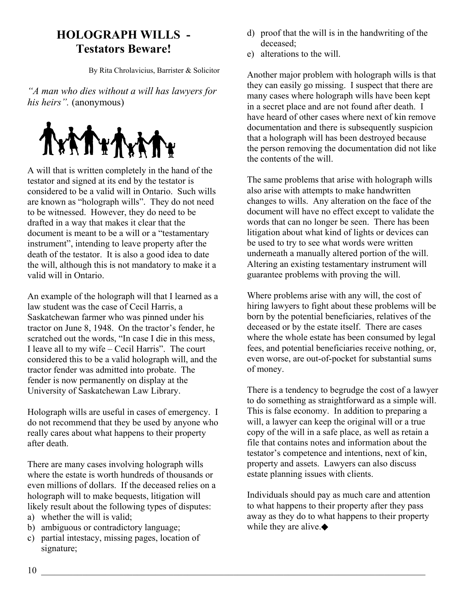# **Testators Beware! e** alterations to the will.

*"A man who dies without a will has lawyers for his heirs".* (anonymous)



A will that is written completely in the hand of the testator and signed at its end by the testator is considered to be a valid will in Ontario. Such wills are known as "holograph wills". They do not need to be witnessed. However, they do need to be drafted in a way that makes it clear that the document is meant to be a will or a "testamentary instrument", intending to leave property after the death of the testator. It is also a good idea to date the will, although this is not mandatory to make it a valid will in Ontario.

An example of the holograph will that I learned as a law student was the case of Cecil Harris, a Saskatchewan farmer who was pinned under his tractor on June 8, 1948. On the tractor's fender, he scratched out the words, "In case I die in this mess, I leave all to my wife – Cecil Harris". The court considered this to be a valid holograph will, and the tractor fender was admitted into probate. The fender is now permanently on display at the University of Saskatchewan Law Library. There is a tendency to begrudge the cost of a lawyer

Holograph wills are useful in cases of emergency. I do not recommend that they be used by anyone who really cares about what happens to their property after death.

There are many cases involving holograph wills where the estate is worth hundreds of thousands or even millions of dollars. If the deceased relies on a holograph will to make bequests, litigation will likely result about the following types of disputes:

- a) whether the will is valid;
- b) ambiguous or contradictory language;
- c) partial intestacy, missing pages, location of signature;
- **HOLOGRAPH WILLS** <br>d) proof that the will is in the handwriting of the deceased:
	-

By Rita Chrolavicius, Barrister & Solicitor Another major problem with holograph wills is that they can easily go missing. I suspect that there are many cases where holograph wills have been kept in a secret place and are not found after death. I have heard of other cases where next of kin remove documentation and there is subsequently suspicion that a holograph will has been destroyed because the person removing the documentation did not like the contents of the will.

> The same problems that arise with holograph wills also arise with attempts to make handwritten changes to wills. Any alteration on the face of the document will have no effect except to validate the words that can no longer be seen. There has been litigation about what kind of lights or devices can be used to try to see what words were written underneath a manually altered portion of the will. Altering an existing testamentary instrument will guarantee problems with proving the will.

Where problems arise with any will, the cost of hiring lawyers to fight about these problems will be born by the potential beneficiaries, relatives of the deceased or by the estate itself. There are cases where the whole estate has been consumed by legal fees, and potential beneficiaries receive nothing, or, even worse, are out-of-pocket for substantial sums of money.

to do something as straightforward as a simple will. This is false economy. In addition to preparing a will, a lawyer can keep the original will or a true copy of the will in a safe place, as well as retain a file that contains notes and information about the testator's competence and intentions, next of kin, property and assets. Lawyers can also discuss estate planning issues with clients.

Individuals should pay as much care and attention to what happens to their property after they pass away as they do to what happens to their property while they are alive.◆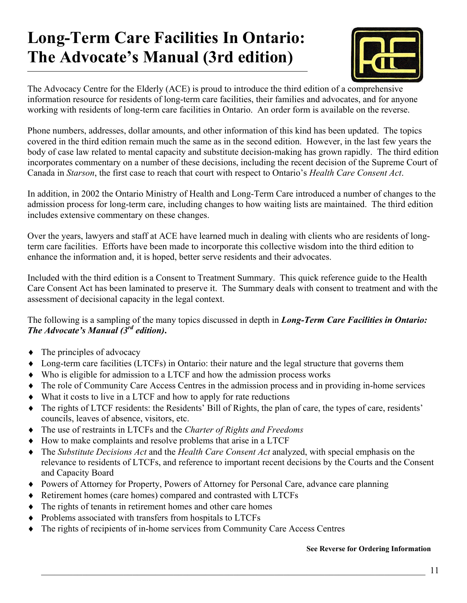# **Long-Term Care Facilities In Ontario: The Advocate's Manual (3rd edition)**



The Advocacy Centre for the Elderly (ACE) is proud to introduce the third edition of a comprehensive information resource for residents of long-term care facilities, their families and advocates, and for anyone working with residents of long-term care facilities in Ontario. An order form is available on the reverse.

Phone numbers, addresses, dollar amounts, and other information of this kind has been updated. The topics covered in the third edition remain much the same as in the second edition. However, in the last few years the body of case law related to mental capacity and substitute decision-making has grown rapidly. The third edition incorporates commentary on a number of these decisions, including the recent decision of the Supreme Court of Canada in *Starson*, the first case to reach that court with respect to Ontario's *Health Care Consent Act*.

In addition, in 2002 the Ontario Ministry of Health and Long-Term Care introduced a number of changes to the admission process for long-term care, including changes to how waiting lists are maintained. The third edition includes extensive commentary on these changes.

Over the years, lawyers and staff at ACE have learned much in dealing with clients who are residents of longterm care facilities. Efforts have been made to incorporate this collective wisdom into the third edition to enhance the information and, it is hoped, better serve residents and their advocates.

Included with the third edition is a Consent to Treatment Summary. This quick reference guide to the Health Care Consent Act has been laminated to preserve it. The Summary deals with consent to treatment and with the assessment of decisional capacity in the legal context.

The following is a sampling of the many topics discussed in depth in *Long-Term Care Facilities in Ontario: The Advocate's Manual (3rd edition)***.** 

- $\bullet$  The principles of advocacy
- Long-term care facilities (LTCFs) in Ontario: their nature and the legal structure that governs them
- ♦ Who is eligible for admission to a LTCF and how the admission process works
- ♦ The role of Community Care Access Centres in the admission process and in providing in-home services
- What it costs to live in a LTCF and how to apply for rate reductions
- The rights of LTCF residents: the Residents' Bill of Rights, the plan of care, the types of care, residents' councils, leaves of absence, visitors, etc.
- ♦ The use of restraints in LTCFs and the *Charter of Rights and Freedoms*
- How to make complaints and resolve problems that arise in a LTCF
- The *Substitute Decisions Act* and the *Health Care Consent Act* analyzed, with special emphasis on the relevance to residents of LTCFs, and reference to important recent decisions by the Courts and the Consent and Capacity Board
- ♦ Powers of Attorney for Property, Powers of Attorney for Personal Care, advance care planning
- Retirement homes (care homes) compared and contrasted with LTCFs
- ♦ The rights of tenants in retirement homes and other care homes
- ♦ Problems associated with transfers from hospitals to LTCFs
- The rights of recipients of in-home services from Community Care Access Centres

#### **See Reverse for Ordering Information**